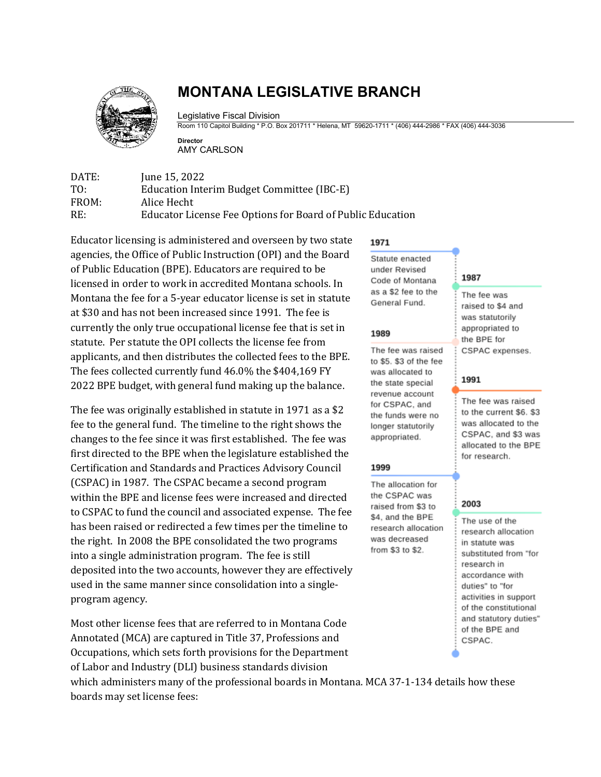

# **MONTANA LEGISLATIVE BRANCH**

Legislative Fiscal Division

Room 110 Capitol Building \* P.O. Box 201711 \* Helena, MT 59620-1711 \* (406) 444-2986 \* FAX (406) 444-3036

**Director** AMY CARLSON

DATE: June 15, 2022<br>TO: Education Inte TO: Education Interim Budget Committee (IBC-E)<br>FROM: Alice Hecht FROM: Alice Hecht<br>RE: Educator Li Educator License Fee Options for Board of Public Education

Educator licensing is administered and overseen by two state agencies, the Office of Public Instruction (OPI) and the Board of Public Education (BPE). Educators are required to be licensed in order to work in accredited Montana schools. In Montana the fee for a 5-year educator license is set in statute at \$30 and has not been increased since 1991. The fee is currently the only true occupational license fee that is set in statute. Per statute the OPI collects the license fee from applicants, and then distributes the collected fees to the BPE. The fees collected currently fund 46.0% the \$404,169 FY 2022 BPE budget, with general fund making up the balance.

The fee was originally established in statute in 1971 as a \$2 fee to the general fund. The timeline to the right shows the changes to the fee since it was first established. The fee was first directed to the BPE when the legislature established the Certification and Standards and Practices Advisory Council (CSPAC) in 1987. The CSPAC became a second program within the BPE and license fees were increased and directed to CSPAC to fund the council and associated expense. The fee has been raised or redirected a few times per the timeline to the right. In 2008 the BPE consolidated the two programs into a single administration program. The fee is still deposited into the two accounts, however they are effectively used in the same manner since consolidation into a singleprogram agency.

Most other license fees that are referred to in Montana Code Annotated (MCA) are captured in Title 37, Professions and Occupations, which sets forth provisions for the Department of Labor and Industry (DLI) business standards division

which administers many of the professional boards in Montana. MCA 37-1-134 details how these boards may set license fees:

## 1971

Statute enacted under Revised Code of Montana as a \$2 fee to the General Fund.

#### 1989

The fee was raised to \$5. \$3 of the fee was allocated to the state special revenue account for CSPAC, and the funds were no longer statutorily appropriated.

### 1999

The allocation for the CSPAC was raised from \$3 to \$4, and the BPE research allocation was decreased from \$3 to \$2.

### 1987

The fee was raised to \$4 and was statutorily appropriated to the BPE for CSPAC expenses.

### 1991

The fee was raised to the current \$6. \$3 was allocated to the CSPAC, and \$3 was allocated to the BPE for research.

### 2003

The use of the research allocation in statute was substituted from "for research in accordance with duties" to "for activities in support of the constitutional and statutory duties" of the BPE and CSPAC.